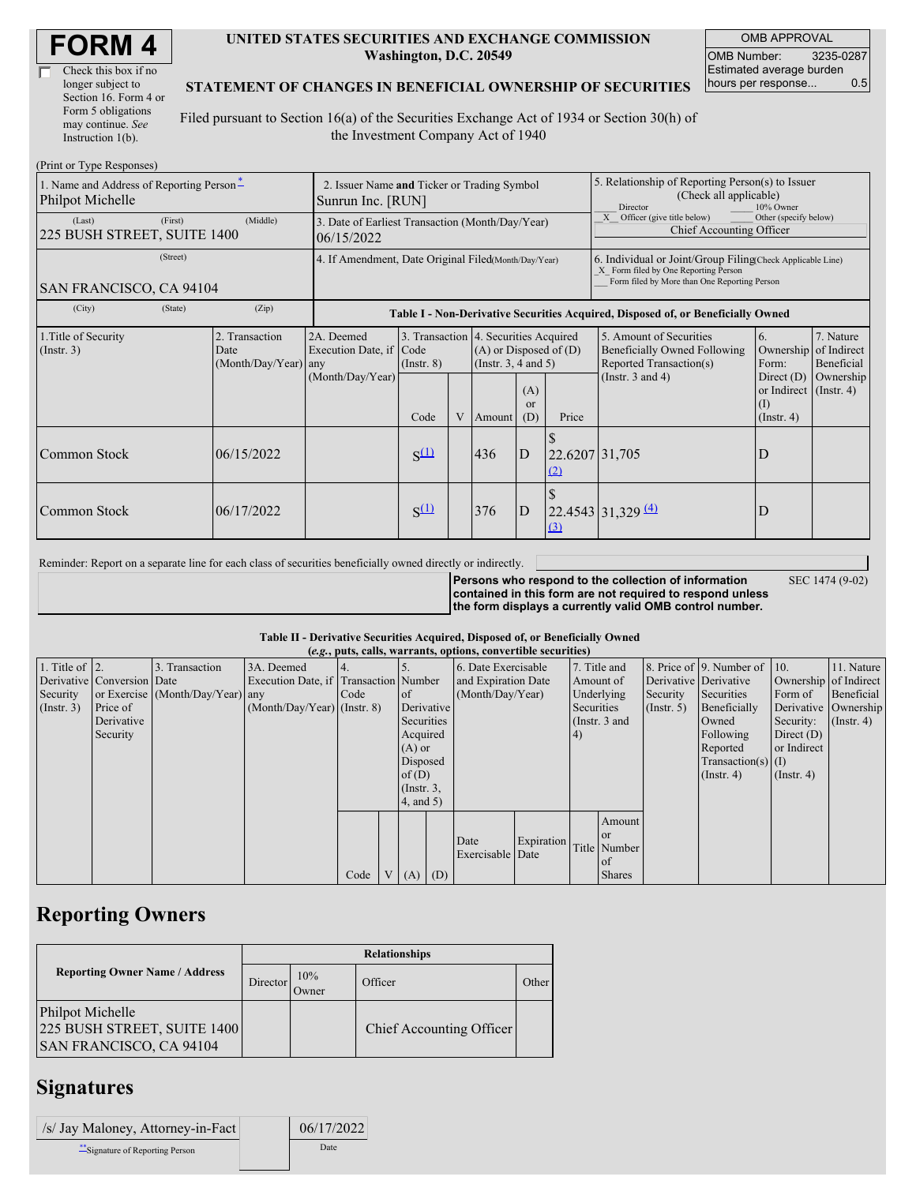| Check this box if no  |  |
|-----------------------|--|
| longer subject to     |  |
| Section 16. Form 4 or |  |
| Form 5 obligations    |  |
| may continue. See     |  |
| Instruction 1(b).     |  |

#### **UNITED STATES SECURITIES AND EXCHANGE COMMISSION Washington, D.C. 20549**

OMB APPROVAL OMB Number: 3235-0287 Estimated average burden hours per response... 0.5

#### **STATEMENT OF CHANGES IN BENEFICIAL OWNERSHIP OF SECURITIES**

Filed pursuant to Section 16(a) of the Securities Exchange Act of 1934 or Section 30(h) of the Investment Company Act of 1940

| (Print or Type Responses)                                    |                                                                  |                                                      |                                 |   |                                                                                                                                          |   |                                                                                                                                                    |                                                                                                             |                                                                                                       |                                                     |  |
|--------------------------------------------------------------|------------------------------------------------------------------|------------------------------------------------------|---------------------------------|---|------------------------------------------------------------------------------------------------------------------------------------------|---|----------------------------------------------------------------------------------------------------------------------------------------------------|-------------------------------------------------------------------------------------------------------------|-------------------------------------------------------------------------------------------------------|-----------------------------------------------------|--|
| 1. Name and Address of Reporting Person-<br>Philpot Michelle | 2. Issuer Name and Ticker or Trading Symbol<br>Sunrun Inc. [RUN] |                                                      |                                 |   |                                                                                                                                          |   | 5. Relationship of Reporting Person(s) to Issuer<br>(Check all applicable)<br>Director<br>10% Owner                                                |                                                                                                             |                                                                                                       |                                                     |  |
| (First)<br>(Last)<br>225 BUSH STREET, SUITE 1400             | 3. Date of Earliest Transaction (Month/Day/Year)<br>06/15/2022   |                                                      |                                 |   |                                                                                                                                          |   | X Officer (give title below)<br>Other (specify below)<br>Chief Accounting Officer                                                                  |                                                                                                             |                                                                                                       |                                                     |  |
| (Street)<br>SAN FRANCISCO, CA 94104                          | 4. If Amendment, Date Original Filed(Month/Day/Year)             |                                                      |                                 |   |                                                                                                                                          |   | 6. Individual or Joint/Group Filing(Check Applicable Line)<br>X Form filed by One Reporting Person<br>Form filed by More than One Reporting Person |                                                                                                             |                                                                                                       |                                                     |  |
| (State)<br>(City)                                            | (Zip)                                                            |                                                      |                                 |   |                                                                                                                                          |   |                                                                                                                                                    | Table I - Non-Derivative Securities Acquired, Disposed of, or Beneficially Owned                            |                                                                                                       |                                                     |  |
| 1. Title of Security<br>(Insert. 3)                          | 2. Transaction<br>Date<br>(Month/Day/Year) any                   | 2A. Deemed<br>Execution Date, if<br>(Month/Day/Year) | Code<br>$($ Instr. $8)$<br>Code | V | 3. Transaction 4. Securities Acquired<br>$(A)$ or Disposed of $(D)$<br>(Instr. $3, 4$ and $5$ )<br>(A)<br><sub>or</sub><br>(D)<br>Amount |   | Price                                                                                                                                              | 5. Amount of Securities<br>Beneficially Owned Following<br>Reported Transaction(s)<br>(Instr. $3$ and $4$ ) | 6.<br>Ownership<br>Form:<br>Direct $(D)$<br>or Indirect $($ Instr. 4)<br>$\rm(I)$<br>$($ Instr. 4 $)$ | 7. Nature<br>of Indirect<br>Beneficial<br>Ownership |  |
| Common Stock                                                 | 06/15/2022                                                       |                                                      | $S^{(1)}$                       |   | 436                                                                                                                                      | D | 22.6207 31,705<br>(2)                                                                                                                              |                                                                                                             | D                                                                                                     |                                                     |  |
| Common Stock                                                 | 06/17/2022                                                       |                                                      | $S^{(1)}$                       |   | 376                                                                                                                                      | D | (3)                                                                                                                                                | $22.4543 \mid 31,329 \mid 4$                                                                                | D                                                                                                     |                                                     |  |

Reminder: Report on a separate line for each class of securities beneficially owned directly or indirectly.

**Persons who respond to the collection of information contained in this form are not required to respond unless the form displays a currently valid OMB control number.**

SEC 1474 (9-02)

**Table II - Derivative Securities Acquired, Disposed of, or Beneficially Owned**

| (e.g., puts, calls, warrants, options, convertible securities) |                            |                                  |                                       |      |               |                 |  |                     |            |              |                 |                       |                          |                       |                      |
|----------------------------------------------------------------|----------------------------|----------------------------------|---------------------------------------|------|---------------|-----------------|--|---------------------|------------|--------------|-----------------|-----------------------|--------------------------|-----------------------|----------------------|
| 1. Title of $\vert$ 2.                                         |                            | 3. Transaction                   | 3A. Deemed                            |      |               |                 |  | 6. Date Exercisable |            | 7. Title and |                 |                       | 8. Price of 9. Number of | 110.                  | 11. Nature           |
|                                                                | Derivative Conversion Date |                                  | Execution Date, if Transaction Number |      |               |                 |  | and Expiration Date |            | Amount of    |                 | Derivative Derivative |                          | Ownership of Indirect |                      |
| Security                                                       |                            | or Exercise (Month/Day/Year) any |                                       | Code | <sub>of</sub> |                 |  | (Month/Day/Year)    |            |              | Underlying      | Security              | Securities               | Form of               | Beneficial           |
| $($ Instr. 3 $)$                                               | Price of                   |                                  | $(Month/Day/Year)$ (Instr. 8)         |      |               | Derivative      |  |                     |            | Securities   |                 | $($ Instr. 5)         | Beneficially             |                       | Derivative Ownership |
|                                                                | Derivative                 |                                  |                                       |      |               | Securities      |  |                     |            |              | (Instr. $3$ and |                       | Owned                    | Security:             | $($ Instr. 4)        |
|                                                                | Security                   |                                  |                                       |      |               | Acquired        |  |                     |            | 4)           |                 |                       | Following                | Direct $(D)$          |                      |
|                                                                |                            |                                  |                                       |      |               | $(A)$ or        |  |                     |            |              |                 |                       | Reported                 | or Indirect           |                      |
|                                                                |                            |                                  |                                       |      |               | Disposed        |  |                     |            |              |                 |                       | $Transaction(s)$ (I)     |                       |                      |
|                                                                |                            |                                  |                                       |      |               | of $(D)$        |  |                     |            |              |                 |                       | $($ Instr. 4 $)$         | $($ Instr. 4 $)$      |                      |
|                                                                |                            |                                  |                                       |      |               | $($ Instr. $3,$ |  |                     |            |              |                 |                       |                          |                       |                      |
|                                                                |                            |                                  |                                       |      |               | $4$ , and 5)    |  |                     |            |              |                 |                       |                          |                       |                      |
|                                                                |                            |                                  |                                       |      |               |                 |  |                     |            |              | Amount          |                       |                          |                       |                      |
|                                                                |                            |                                  |                                       |      |               |                 |  |                     |            |              | <sub>or</sub>   |                       |                          |                       |                      |
|                                                                |                            |                                  |                                       |      |               |                 |  | Date                | Expiration |              | Title Number    |                       |                          |                       |                      |
|                                                                |                            |                                  |                                       |      |               |                 |  | Exercisable Date    |            |              | of              |                       |                          |                       |                      |
|                                                                |                            |                                  |                                       | Code |               | V   (A)   (D)   |  |                     |            |              | <b>Shares</b>   |                       |                          |                       |                      |

## **Reporting Owners**

|                                                                                          | <b>Relationships</b> |              |                          |       |  |  |  |  |  |
|------------------------------------------------------------------------------------------|----------------------|--------------|--------------------------|-------|--|--|--|--|--|
| <b>Reporting Owner Name / Address</b>                                                    | Director             | 10%<br>Owner | Officer                  | Other |  |  |  |  |  |
| <b>Philpot Michelle</b><br>225 BUSH STREET, SUITE 1400<br><b>SAN FRANCISCO, CA 94104</b> |                      |              | Chief Accounting Officer |       |  |  |  |  |  |

### **Signatures**

| /s/ Jay Maloney, Attorney-in-Fact | 06/17/2022 |
|-----------------------------------|------------|
| Signature of Reporting Person     | Date       |